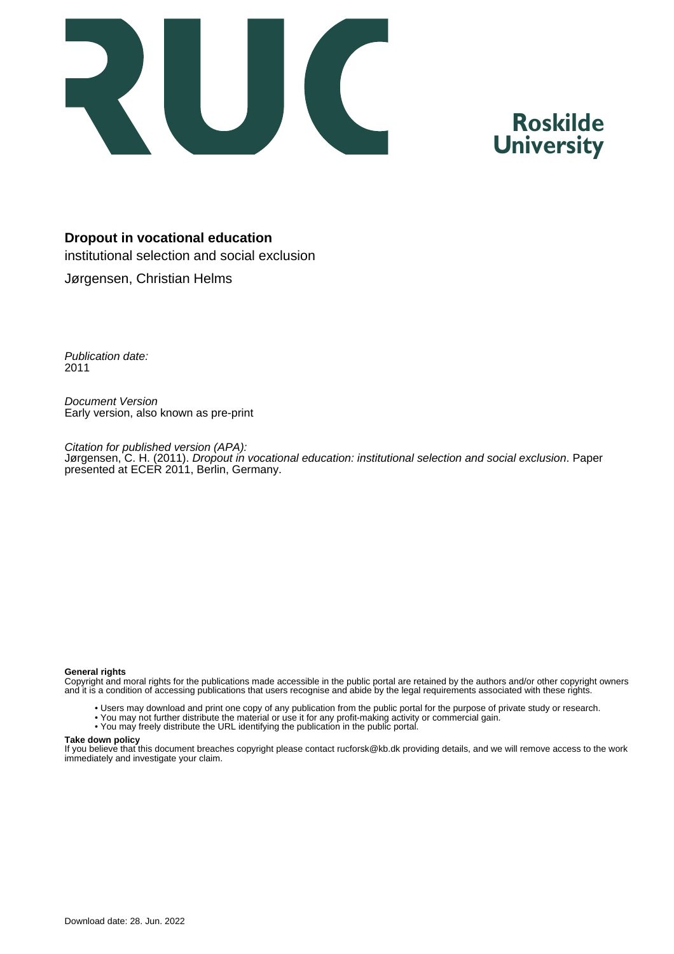

# **Roskilde University**

# **Dropout in vocational education**

institutional selection and social exclusion

Jørgensen, Christian Helms

Publication date: 2011

Document Version Early version, also known as pre-print

Citation for published version (APA): Jørgensen, C. H. (2011). Dropout in vocational education: institutional selection and social exclusion. Paper presented at ECER 2011, Berlin, Germany.

#### **General rights**

Copyright and moral rights for the publications made accessible in the public portal are retained by the authors and/or other copyright owners and it is a condition of accessing publications that users recognise and abide by the legal requirements associated with these rights.

- Users may download and print one copy of any publication from the public portal for the purpose of private study or research.
- You may not further distribute the material or use it for any profit-making activity or commercial gain.
- You may freely distribute the URL identifying the publication in the public portal.

#### **Take down policy**

If you believe that this document breaches copyright please contact rucforsk@kb.dk providing details, and we will remove access to the work immediately and investigate your claim.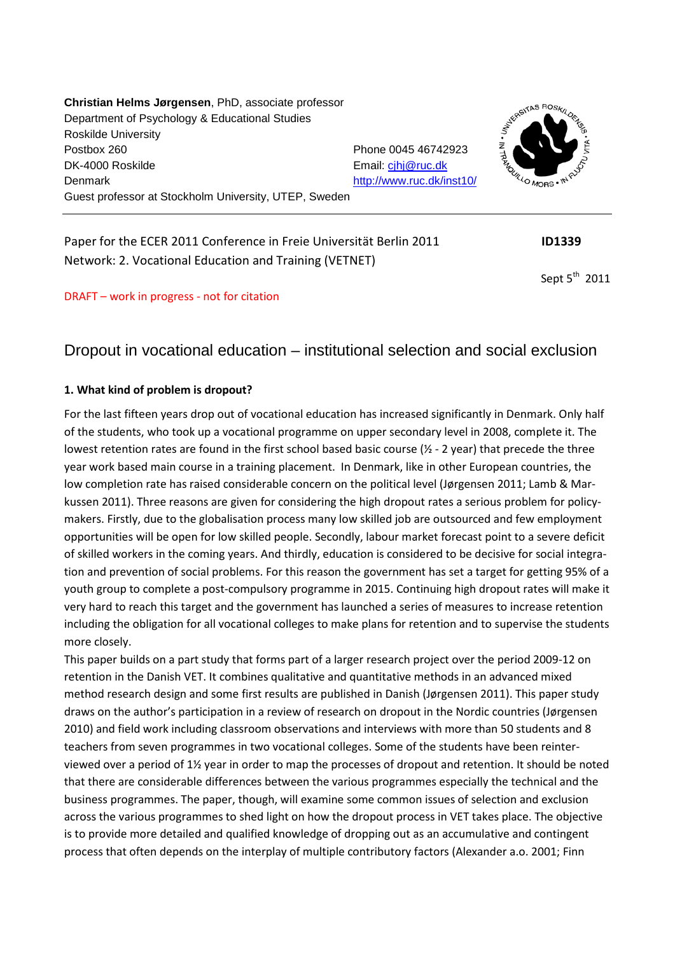**Christian Helms Jørgensen**, PhD, associate professor Department of Psychology & Educational Studies Roskilde University Postbox 260 **Phone 0045 46742923** DK-4000 Roskilde Email: [cjhj@ruc.dk](mailto:cjhj@ruc.dk) Denmark <http://www.ruc.dk/inst10/> Guest professor at Stockholm University, UTEP, Sweden



Paper for the ECER 2011 Conference in Freie Universität Berlin 2011 **ID1339** Network: 2. Vocational Education and Training (VETNET)

Sept  $5<sup>th</sup>$  2011

## DRAFT – work in progress - not for citation

# Dropout in vocational education – institutional selection and social exclusion

## **1. What kind of problem is dropout?**

For the last fifteen years drop out of vocational education has increased significantly in Denmark. Only half of the students, who took up a vocational programme on upper secondary level in 2008, complete it. The lowest retention rates are found in the first school based basic course (½ - 2 year) that precede the three year work based main course in a training placement. In Denmark, like in other European countries, the low completion rate has raised considerable concern on the political level (Jørgensen 2011; Lamb & Markussen 2011). Three reasons are given for considering the high dropout rates a serious problem for policymakers. Firstly, due to the globalisation process many low skilled job are outsourced and few employment opportunities will be open for low skilled people. Secondly, labour market forecast point to a severe deficit of skilled workers in the coming years. And thirdly, education is considered to be decisive for social integration and prevention of social problems. For this reason the government has set a target for getting 95% of a youth group to complete a post-compulsory programme in 2015. Continuing high dropout rates will make it very hard to reach this target and the government has launched a series of measures to increase retention including the obligation for all vocational colleges to make plans for retention and to supervise the students more closely.

This paper builds on a part study that forms part of a larger research project over the period 2009-12 on retention in the Danish VET. It combines qualitative and quantitative methods in an advanced mixed method research design and some first results are published in Danish (Jørgensen 2011). This paper study draws on the author's participation in a review of research on dropout in the Nordic countries (Jørgensen 2010) and field work including classroom observations and interviews with more than 50 students and 8 teachers from seven programmes in two vocational colleges. Some of the students have been reinterviewed over a period of 1½ year in order to map the processes of dropout and retention. It should be noted that there are considerable differences between the various programmes especially the technical and the business programmes. The paper, though, will examine some common issues of selection and exclusion across the various programmes to shed light on how the dropout process in VET takes place. The objective is to provide more detailed and qualified knowledge of dropping out as an accumulative and contingent process that often depends on the interplay of multiple contributory factors (Alexander a.o. 2001; Finn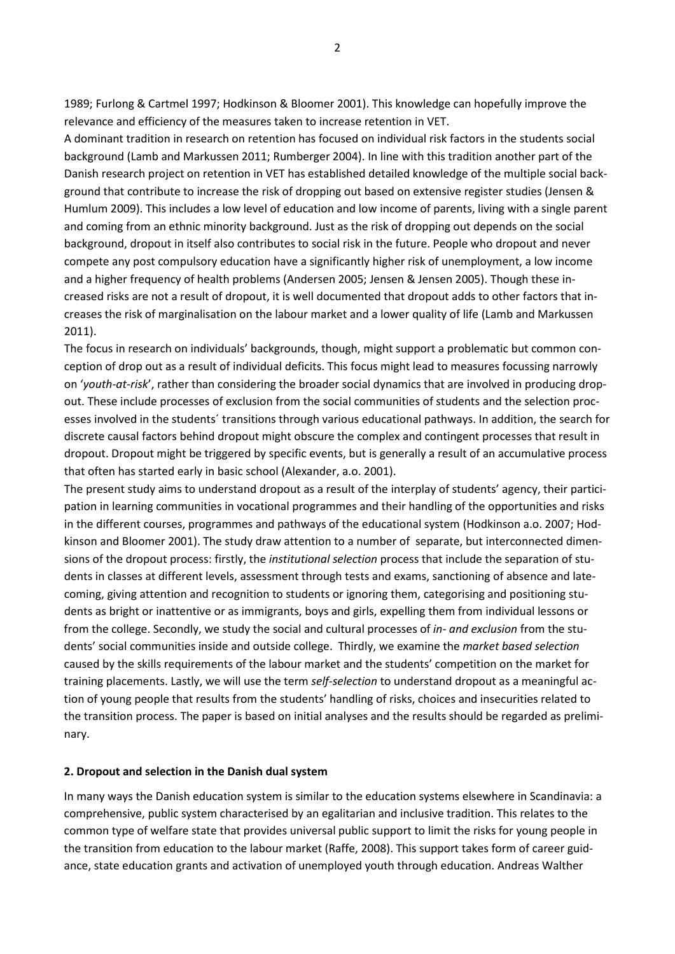1989; Furlong & Cartmel 1997; Hodkinson & Bloomer 2001). This knowledge can hopefully improve the relevance and efficiency of the measures taken to increase retention in VET.

A dominant tradition in research on retention has focused on individual risk factors in the students social background (Lamb and Markussen 2011; Rumberger 2004). In line with this tradition another part of the Danish research project on retention in VET has established detailed knowledge of the multiple social background that contribute to increase the risk of dropping out based on extensive register studies (Jensen & Humlum 2009). This includes a low level of education and low income of parents, living with a single parent and coming from an ethnic minority background. Just as the risk of dropping out depends on the social background, dropout in itself also contributes to social risk in the future. People who dropout and never compete any post compulsory education have a significantly higher risk of unemployment, a low income and a higher frequency of health problems (Andersen 2005; Jensen & Jensen 2005). Though these increased risks are not a result of dropout, it is well documented that dropout adds to other factors that increases the risk of marginalisation on the labour market and a lower quality of life (Lamb and Markussen 2011).

The focus in research on individuals' backgrounds, though, might support a problematic but common conception of drop out as a result of individual deficits. This focus might lead to measures focussing narrowly on '*youth-at-risk*', rather than considering the broader social dynamics that are involved in producing dropout. These include processes of exclusion from the social communities of students and the selection processes involved in the students´ transitions through various educational pathways. In addition, the search for discrete causal factors behind dropout might obscure the complex and contingent processes that result in dropout. Dropout might be triggered by specific events, but is generally a result of an accumulative process that often has started early in basic school (Alexander, a.o. 2001).

The present study aims to understand dropout as a result of the interplay of students' agency, their participation in learning communities in vocational programmes and their handling of the opportunities and risks in the different courses, programmes and pathways of the educational system (Hodkinson a.o. 2007; Hodkinson and Bloomer 2001). The study draw attention to a number of separate, but interconnected dimensions of the dropout process: firstly, the *institutional selection* process that include the separation of students in classes at different levels, assessment through tests and exams, sanctioning of absence and latecoming, giving attention and recognition to students or ignoring them, categorising and positioning students as bright or inattentive or as immigrants, boys and girls, expelling them from individual lessons or from the college. Secondly, we study the social and cultural processes of *in- and exclusion* from the students' social communities inside and outside college. Thirdly, we examine the *market based selection* caused by the skills requirements of the labour market and the students' competition on the market for training placements. Lastly, we will use the term *self-selection* to understand dropout as a meaningful action of young people that results from the students' handling of risks, choices and insecurities related to the transition process. The paper is based on initial analyses and the results should be regarded as preliminary.

#### **2. Dropout and selection in the Danish dual system**

In many ways the Danish education system is similar to the education systems elsewhere in Scandinavia: a comprehensive, public system characterised by an egalitarian and inclusive tradition. This relates to the common type of welfare state that provides universal public support to limit the risks for young people in the transition from education to the labour market (Raffe, 2008). This support takes form of career guidance, state education grants and activation of unemployed youth through education. Andreas Walther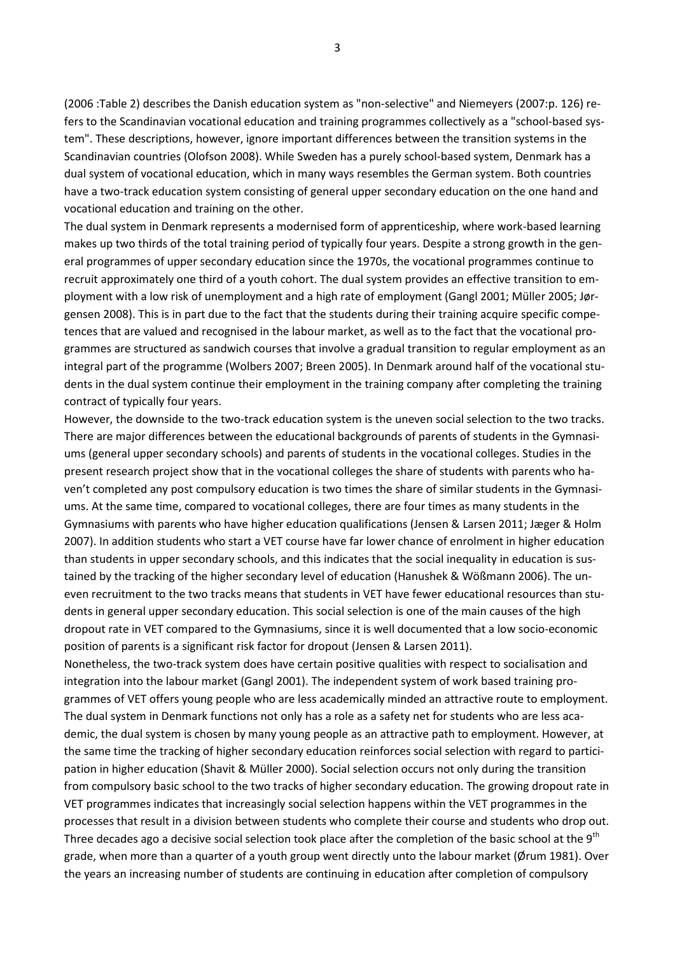(2006 :Table 2) describes the Danish education system as "non-selective" and Niemeyers (2007:p. 126) refers to the Scandinavian vocational education and training programmes collectively as a "school-based system". These descriptions, however, ignore important differences between the transition systems in the Scandinavian countries (Olofson 2008). While Sweden has a purely school-based system, Denmark has a dual system of vocational education, which in many ways resembles the German system. Both countries have a two-track education system consisting of general upper secondary education on the one hand and vocational education and training on the other.

The dual system in Denmark represents a modernised form of apprenticeship, where work-based learning makes up two thirds of the total training period of typically four years. Despite a strong growth in the general programmes of upper secondary education since the 1970s, the vocational programmes continue to recruit approximately one third of a youth cohort. The dual system provides an effective transition to employment with a low risk of unemployment and a high rate of employment (Gangl 2001; Müller 2005; Jørgensen 2008). This is in part due to the fact that the students during their training acquire specific competences that are valued and recognised in the labour market, as well as to the fact that the vocational programmes are structured as sandwich courses that involve a gradual transition to regular employment as an integral part of the programme (Wolbers 2007; Breen 2005). In Denmark around half of the vocational students in the dual system continue their employment in the training company after completing the training contract of typically four years.

However, the downside to the two-track education system is the uneven social selection to the two tracks. There are major differences between the educational backgrounds of parents of students in the Gymnasiums (general upper secondary schools) and parents of students in the vocational colleges. Studies in the present research project show that in the vocational colleges the share of students with parents who haven't completed any post compulsory education is two times the share of similar students in the Gymnasiums. At the same time, compared to vocational colleges, there are four times as many students in the Gymnasiums with parents who have higher education qualifications (Jensen & Larsen 2011; Jæger & Holm 2007). In addition students who start a VET course have far lower chance of enrolment in higher education than students in upper secondary schools, and this indicates that the social inequality in education is sustained by the tracking of the higher secondary level of education (Hanushek & Wößmann 2006). The uneven recruitment to the two tracks means that students in VET have fewer educational resources than students in general upper secondary education. This social selection is one of the main causes of the high dropout rate in VET compared to the Gymnasiums, since it is well documented that a low socio-economic position of parents is a significant risk factor for dropout (Jensen & Larsen 2011).

Nonetheless, the two-track system does have certain positive qualities with respect to socialisation and integration into the labour market (Gangl 2001). The independent system of work based training programmes of VET offers young people who are less academically minded an attractive route to employment. The dual system in Denmark functions not only has a role as a safety net for students who are less academic, the dual system is chosen by many young people as an attractive path to employment. However, at the same time the tracking of higher secondary education reinforces social selection with regard to participation in higher education (Shavit & Müller 2000). Social selection occurs not only during the transition from compulsory basic school to the two tracks of higher secondary education. The growing dropout rate in VET programmes indicates that increasingly social selection happens within the VET programmes in the processes that result in a division between students who complete their course and students who drop out. Three decades ago a decisive social selection took place after the completion of the basic school at the 9<sup>th</sup> grade, when more than a quarter of a youth group went directly unto the labour market (Ørum 1981). Over the years an increasing number of students are continuing in education after completion of compulsory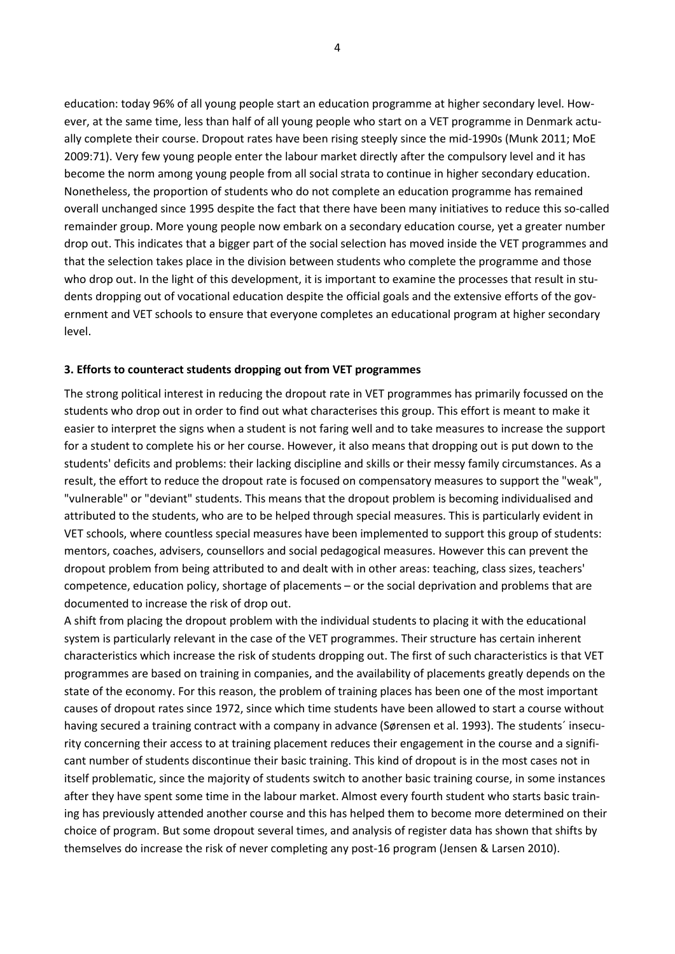education: today 96% of all young people start an education programme at higher secondary level. However, at the same time, less than half of all young people who start on a VET programme in Denmark actually complete their course. Dropout rates have been rising steeply since the mid-1990s (Munk 2011; MoE 2009:71). Very few young people enter the labour market directly after the compulsory level and it has become the norm among young people from all social strata to continue in higher secondary education. Nonetheless, the proportion of students who do not complete an education programme has remained overall unchanged since 1995 despite the fact that there have been many initiatives to reduce this so-called remainder group. More young people now embark on a secondary education course, yet a greater number drop out. This indicates that a bigger part of the social selection has moved inside the VET programmes and that the selection takes place in the division between students who complete the programme and those who drop out. In the light of this development, it is important to examine the processes that result in students dropping out of vocational education despite the official goals and the extensive efforts of the government and VET schools to ensure that everyone completes an educational program at higher secondary level.

#### **3. Efforts to counteract students dropping out from VET programmes**

The strong political interest in reducing the dropout rate in VET programmes has primarily focussed on the students who drop out in order to find out what characterises this group. This effort is meant to make it easier to interpret the signs when a student is not faring well and to take measures to increase the support for a student to complete his or her course. However, it also means that dropping out is put down to the students' deficits and problems: their lacking discipline and skills or their messy family circumstances. As a result, the effort to reduce the dropout rate is focused on compensatory measures to support the "weak", "vulnerable" or "deviant" students. This means that the dropout problem is becoming individualised and attributed to the students, who are to be helped through special measures. This is particularly evident in VET schools, where countless special measures have been implemented to support this group of students: mentors, coaches, advisers, counsellors and social pedagogical measures. However this can prevent the dropout problem from being attributed to and dealt with in other areas: teaching, class sizes, teachers' competence, education policy, shortage of placements – or the social deprivation and problems that are documented to increase the risk of drop out.

A shift from placing the dropout problem with the individual students to placing it with the educational system is particularly relevant in the case of the VET programmes. Their structure has certain inherent characteristics which increase the risk of students dropping out. The first of such characteristics is that VET programmes are based on training in companies, and the availability of placements greatly depends on the state of the economy. For this reason, the problem of training places has been one of the most important causes of dropout rates since 1972, since which time students have been allowed to start a course without having secured a training contract with a company in advance (Sørensen et al. 1993). The students´ insecurity concerning their access to at training placement reduces their engagement in the course and a significant number of students discontinue their basic training. This kind of dropout is in the most cases not in itself problematic, since the majority of students switch to another basic training course, in some instances after they have spent some time in the labour market. Almost every fourth student who starts basic training has previously attended another course and this has helped them to become more determined on their choice of program. But some dropout several times, and analysis of register data has shown that shifts by themselves do increase the risk of never completing any post-16 program (Jensen & Larsen 2010).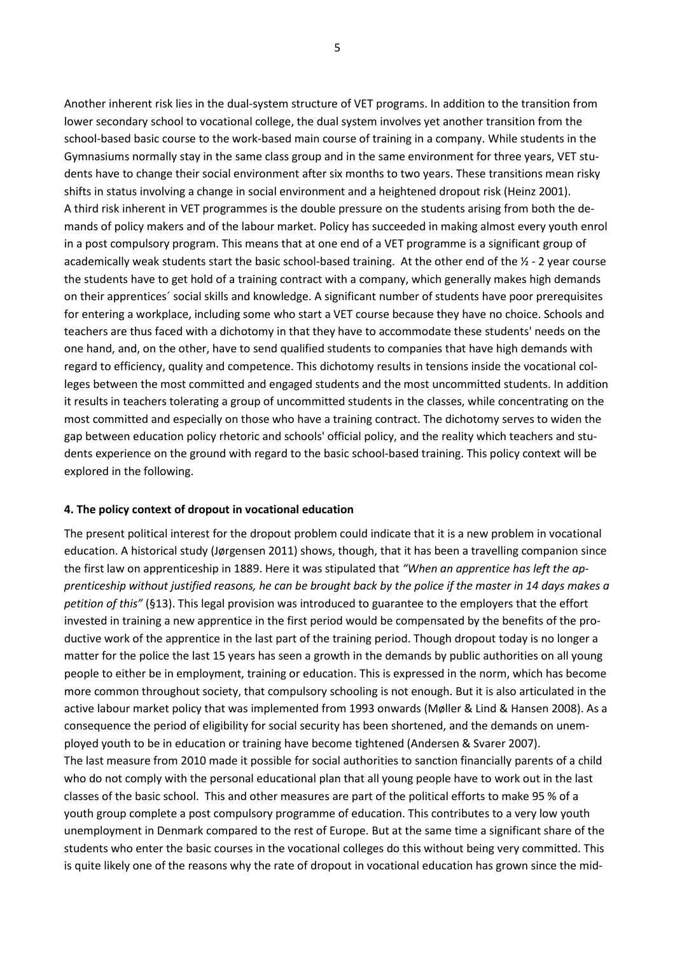Another inherent risk lies in the dual-system structure of VET programs. In addition to the transition from lower secondary school to vocational college, the dual system involves yet another transition from the school-based basic course to the work-based main course of training in a company. While students in the Gymnasiums normally stay in the same class group and in the same environment for three years, VET students have to change their social environment after six months to two years. These transitions mean risky shifts in status involving a change in social environment and a heightened dropout risk (Heinz 2001). A third risk inherent in VET programmes is the double pressure on the students arising from both the demands of policy makers and of the labour market. Policy has succeeded in making almost every youth enrol in a post compulsory program. This means that at one end of a VET programme is a significant group of academically weak students start the basic school-based training. At the other end of the  $\frac{1}{2}$  - 2 year course the students have to get hold of a training contract with a company, which generally makes high demands on their apprentices´ social skills and knowledge. A significant number of students have poor prerequisites for entering a workplace, including some who start a VET course because they have no choice. Schools and teachers are thus faced with a dichotomy in that they have to accommodate these students' needs on the one hand, and, on the other, have to send qualified students to companies that have high demands with regard to efficiency, quality and competence. This dichotomy results in tensions inside the vocational colleges between the most committed and engaged students and the most uncommitted students. In addition it results in teachers tolerating a group of uncommitted students in the classes, while concentrating on the most committed and especially on those who have a training contract. The dichotomy serves to widen the gap between education policy rhetoric and schools' official policy, and the reality which teachers and students experience on the ground with regard to the basic school-based training. This policy context will be explored in the following.

#### **4. The policy context of dropout in vocational education**

The present political interest for the dropout problem could indicate that it is a new problem in vocational education. A historical study (Jørgensen 2011) shows, though, that it has been a travelling companion since the first law on apprenticeship in 1889. Here it was stipulated that *"When an apprentice has left the apprenticeship without justified reasons, he can be brought back by the police if the master in 14 days makes a petition of this"* (§13). This legal provision was introduced to guarantee to the employers that the effort invested in training a new apprentice in the first period would be compensated by the benefits of the productive work of the apprentice in the last part of the training period. Though dropout today is no longer a matter for the police the last 15 years has seen a growth in the demands by public authorities on all young people to either be in employment, training or education. This is expressed in the norm, which has become more common throughout society, that compulsory schooling is not enough. But it is also articulated in the active labour market policy that was implemented from 1993 onwards (Møller & Lind & Hansen 2008). As a consequence the period of eligibility for social security has been shortened, and the demands on unemployed youth to be in education or training have become tightened (Andersen & Svarer 2007). The last measure from 2010 made it possible for social authorities to sanction financially parents of a child who do not comply with the personal educational plan that all young people have to work out in the last classes of the basic school. This and other measures are part of the political efforts to make 95 % of a youth group complete a post compulsory programme of education. This contributes to a very low youth unemployment in Denmark compared to the rest of Europe. But at the same time a significant share of the students who enter the basic courses in the vocational colleges do this without being very committed. This is quite likely one of the reasons why the rate of dropout in vocational education has grown since the mid-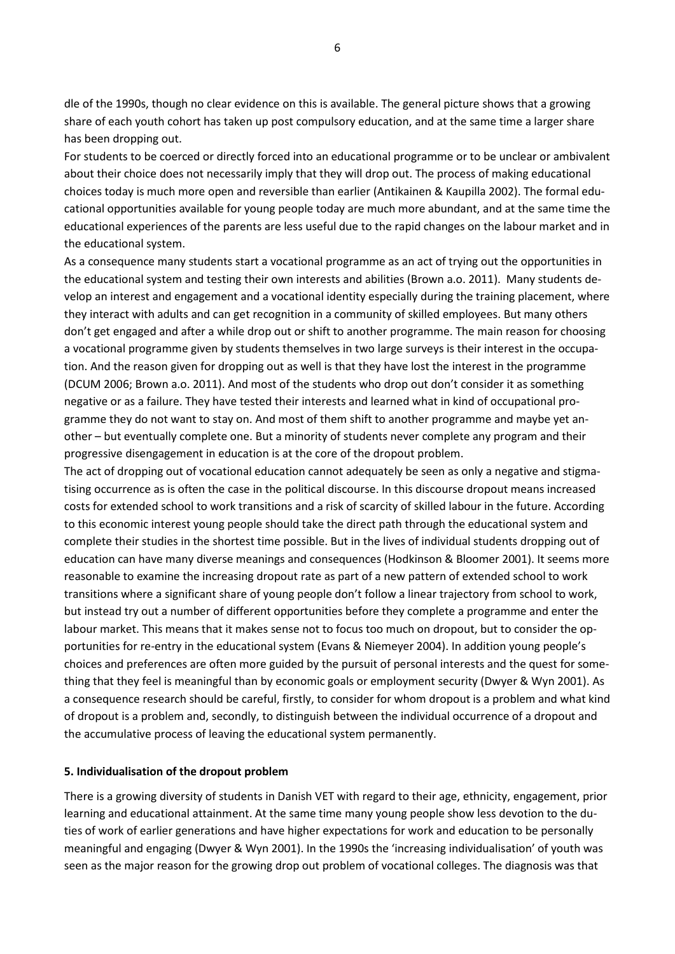dle of the 1990s, though no clear evidence on this is available. The general picture shows that a growing share of each youth cohort has taken up post compulsory education, and at the same time a larger share has been dropping out.

For students to be coerced or directly forced into an educational programme or to be unclear or ambivalent about their choice does not necessarily imply that they will drop out. The process of making educational choices today is much more open and reversible than earlier (Antikainen & Kaupilla 2002). The formal educational opportunities available for young people today are much more abundant, and at the same time the educational experiences of the parents are less useful due to the rapid changes on the labour market and in the educational system.

As a consequence many students start a vocational programme as an act of trying out the opportunities in the educational system and testing their own interests and abilities (Brown a.o. 2011). Many students develop an interest and engagement and a vocational identity especially during the training placement, where they interact with adults and can get recognition in a community of skilled employees. But many others don't get engaged and after a while drop out or shift to another programme. The main reason for choosing a vocational programme given by students themselves in two large surveys is their interest in the occupation. And the reason given for dropping out as well is that they have lost the interest in the programme (DCUM 2006; Brown a.o. 2011). And most of the students who drop out don't consider it as something negative or as a failure. They have tested their interests and learned what in kind of occupational programme they do not want to stay on. And most of them shift to another programme and maybe yet another – but eventually complete one. But a minority of students never complete any program and their progressive disengagement in education is at the core of the dropout problem.

The act of dropping out of vocational education cannot adequately be seen as only a negative and stigmatising occurrence as is often the case in the political discourse. In this discourse dropout means increased costs for extended school to work transitions and a risk of scarcity of skilled labour in the future. According to this economic interest young people should take the direct path through the educational system and complete their studies in the shortest time possible. But in the lives of individual students dropping out of education can have many diverse meanings and consequences (Hodkinson & Bloomer 2001). It seems more reasonable to examine the increasing dropout rate as part of a new pattern of extended school to work transitions where a significant share of young people don't follow a linear trajectory from school to work, but instead try out a number of different opportunities before they complete a programme and enter the labour market. This means that it makes sense not to focus too much on dropout, but to consider the opportunities for re-entry in the educational system (Evans & Niemeyer 2004). In addition young people's choices and preferences are often more guided by the pursuit of personal interests and the quest for something that they feel is meaningful than by economic goals or employment security (Dwyer & Wyn 2001). As a consequence research should be careful, firstly, to consider for whom dropout is a problem and what kind of dropout is a problem and, secondly, to distinguish between the individual occurrence of a dropout and the accumulative process of leaving the educational system permanently.

#### **5. Individualisation of the dropout problem**

There is a growing diversity of students in Danish VET with regard to their age, ethnicity, engagement, prior learning and educational attainment. At the same time many young people show less devotion to the duties of work of earlier generations and have higher expectations for work and education to be personally meaningful and engaging (Dwyer & Wyn 2001). In the 1990s the 'increasing individualisation' of youth was seen as the major reason for the growing drop out problem of vocational colleges. The diagnosis was that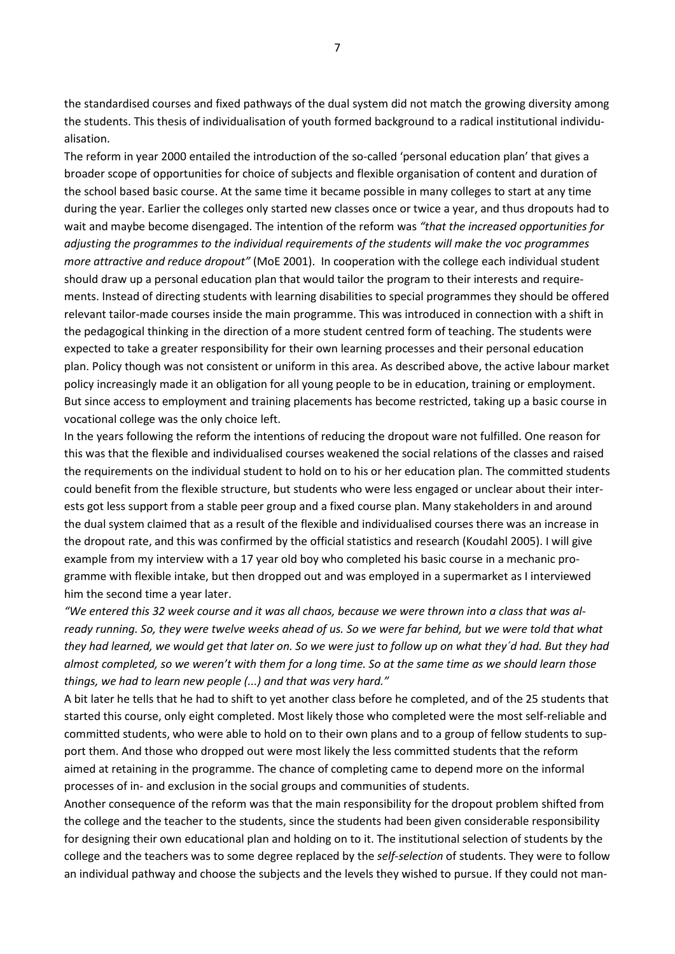the standardised courses and fixed pathways of the dual system did not match the growing diversity among the students. This thesis of individualisation of youth formed background to a radical institutional individualisation.

The reform in year 2000 entailed the introduction of the so-called 'personal education plan' that gives a broader scope of opportunities for choice of subjects and flexible organisation of content and duration of the school based basic course. At the same time it became possible in many colleges to start at any time during the year. Earlier the colleges only started new classes once or twice a year, and thus dropouts had to wait and maybe become disengaged. The intention of the reform was *"that the increased opportunities for adjusting the programmes to the individual requirements of the students will make the voc programmes more attractive and reduce dropout"* (MoE 2001). In cooperation with the college each individual student should draw up a personal education plan that would tailor the program to their interests and requirements. Instead of directing students with learning disabilities to special programmes they should be offered relevant tailor-made courses inside the main programme. This was introduced in connection with a shift in the pedagogical thinking in the direction of a more student centred form of teaching. The students were expected to take a greater responsibility for their own learning processes and their personal education plan. Policy though was not consistent or uniform in this area. As described above, the active labour market policy increasingly made it an obligation for all young people to be in education, training or employment. But since access to employment and training placements has become restricted, taking up a basic course in vocational college was the only choice left.

In the years following the reform the intentions of reducing the dropout ware not fulfilled. One reason for this was that the flexible and individualised courses weakened the social relations of the classes and raised the requirements on the individual student to hold on to his or her education plan. The committed students could benefit from the flexible structure, but students who were less engaged or unclear about their interests got less support from a stable peer group and a fixed course plan. Many stakeholders in and around the dual system claimed that as a result of the flexible and individualised courses there was an increase in the dropout rate, and this was confirmed by the official statistics and research (Koudahl 2005). I will give example from my interview with a 17 year old boy who completed his basic course in a mechanic programme with flexible intake, but then dropped out and was employed in a supermarket as I interviewed him the second time a year later.

*"We entered this 32 week course and it was all chaos, because we were thrown into a class that was already running. So, they were twelve weeks ahead of us. So we were far behind, but we were told that what they had learned, we would get that later on. So we were just to follow up on what they´d had. But they had almost completed, so we weren't with them for a long time. So at the same time as we should learn those things, we had to learn new people (...) and that was very hard."* 

A bit later he tells that he had to shift to yet another class before he completed, and of the 25 students that started this course, only eight completed. Most likely those who completed were the most self-reliable and committed students, who were able to hold on to their own plans and to a group of fellow students to support them. And those who dropped out were most likely the less committed students that the reform aimed at retaining in the programme. The chance of completing came to depend more on the informal processes of in- and exclusion in the social groups and communities of students.

Another consequence of the reform was that the main responsibility for the dropout problem shifted from the college and the teacher to the students, since the students had been given considerable responsibility for designing their own educational plan and holding on to it. The institutional selection of students by the college and the teachers was to some degree replaced by the *self-selection* of students. They were to follow an individual pathway and choose the subjects and the levels they wished to pursue. If they could not man-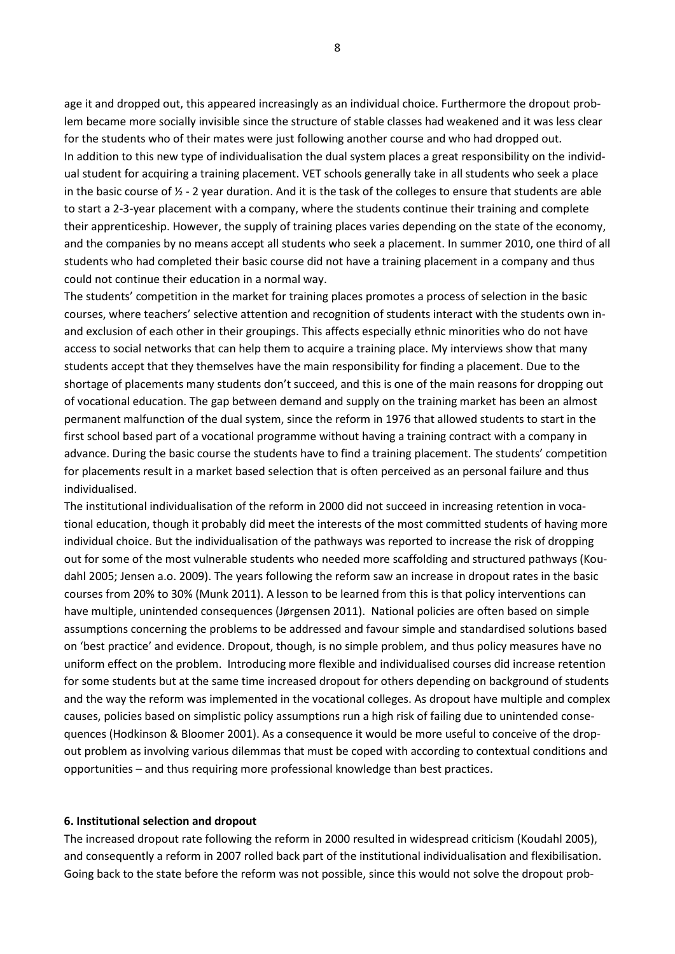age it and dropped out, this appeared increasingly as an individual choice. Furthermore the dropout problem became more socially invisible since the structure of stable classes had weakened and it was less clear for the students who of their mates were just following another course and who had dropped out. In addition to this new type of individualisation the dual system places a great responsibility on the individual student for acquiring a training placement. VET schools generally take in all students who seek a place in the basic course of  $\frac{1}{2}$  - 2 year duration. And it is the task of the colleges to ensure that students are able to start a 2-3-year placement with a company, where the students continue their training and complete their apprenticeship. However, the supply of training places varies depending on the state of the economy, and the companies by no means accept all students who seek a placement. In summer 2010, one third of all students who had completed their basic course did not have a training placement in a company and thus could not continue their education in a normal way.

The students' competition in the market for training places promotes a process of selection in the basic courses, where teachers' selective attention and recognition of students interact with the students own inand exclusion of each other in their groupings. This affects especially ethnic minorities who do not have access to social networks that can help them to acquire a training place. My interviews show that many students accept that they themselves have the main responsibility for finding a placement. Due to the shortage of placements many students don't succeed, and this is one of the main reasons for dropping out of vocational education. The gap between demand and supply on the training market has been an almost permanent malfunction of the dual system, since the reform in 1976 that allowed students to start in the first school based part of a vocational programme without having a training contract with a company in advance. During the basic course the students have to find a training placement. The students' competition for placements result in a market based selection that is often perceived as an personal failure and thus individualised.

The institutional individualisation of the reform in 2000 did not succeed in increasing retention in vocational education, though it probably did meet the interests of the most committed students of having more individual choice. But the individualisation of the pathways was reported to increase the risk of dropping out for some of the most vulnerable students who needed more scaffolding and structured pathways (Koudahl 2005; Jensen a.o. 2009). The years following the reform saw an increase in dropout rates in the basic courses from 20% to 30% (Munk 2011). A lesson to be learned from this is that policy interventions can have multiple, unintended consequences (Jørgensen 2011). National policies are often based on simple assumptions concerning the problems to be addressed and favour simple and standardised solutions based on 'best practice' and evidence. Dropout, though, is no simple problem, and thus policy measures have no uniform effect on the problem. Introducing more flexible and individualised courses did increase retention for some students but at the same time increased dropout for others depending on background of students and the way the reform was implemented in the vocational colleges. As dropout have multiple and complex causes, policies based on simplistic policy assumptions run a high risk of failing due to unintended consequences (Hodkinson & Bloomer 2001). As a consequence it would be more useful to conceive of the dropout problem as involving various dilemmas that must be coped with according to contextual conditions and opportunities – and thus requiring more professional knowledge than best practices.

#### **6. Institutional selection and dropout**

The increased dropout rate following the reform in 2000 resulted in widespread criticism (Koudahl 2005), and consequently a reform in 2007 rolled back part of the institutional individualisation and flexibilisation. Going back to the state before the reform was not possible, since this would not solve the dropout prob-

8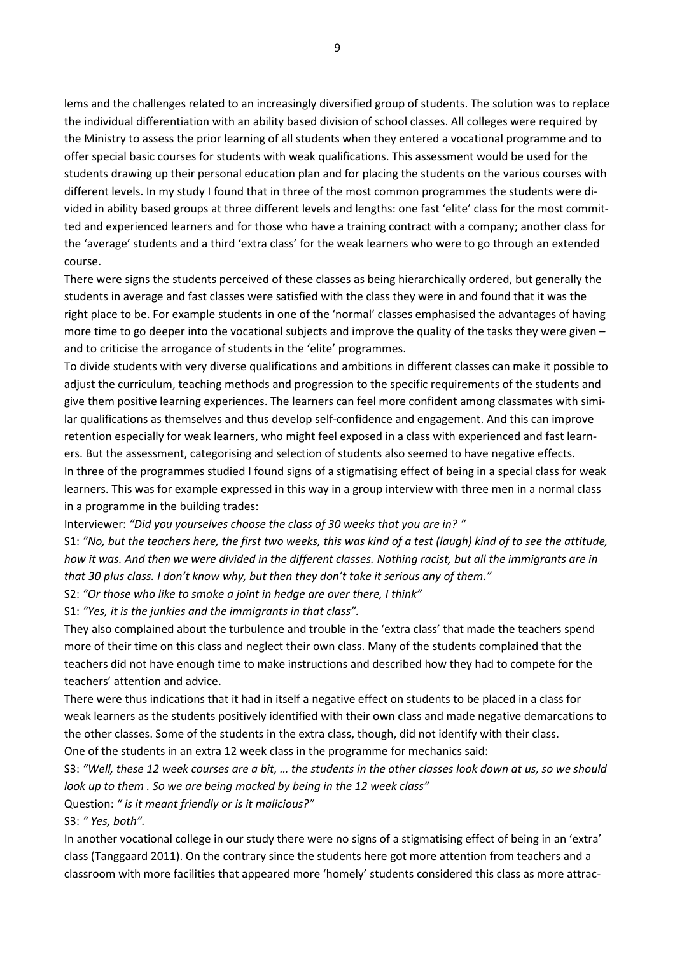lems and the challenges related to an increasingly diversified group of students. The solution was to replace the individual differentiation with an ability based division of school classes. All colleges were required by the Ministry to assess the prior learning of all students when they entered a vocational programme and to offer special basic courses for students with weak qualifications. This assessment would be used for the students drawing up their personal education plan and for placing the students on the various courses with different levels. In my study I found that in three of the most common programmes the students were divided in ability based groups at three different levels and lengths: one fast 'elite' class for the most committed and experienced learners and for those who have a training contract with a company; another class for the 'average' students and a third 'extra class' for the weak learners who were to go through an extended course.

There were signs the students perceived of these classes as being hierarchically ordered, but generally the students in average and fast classes were satisfied with the class they were in and found that it was the right place to be. For example students in one of the 'normal' classes emphasised the advantages of having more time to go deeper into the vocational subjects and improve the quality of the tasks they were given – and to criticise the arrogance of students in the 'elite' programmes.

To divide students with very diverse qualifications and ambitions in different classes can make it possible to adjust the curriculum, teaching methods and progression to the specific requirements of the students and give them positive learning experiences. The learners can feel more confident among classmates with similar qualifications as themselves and thus develop self-confidence and engagement. And this can improve retention especially for weak learners, who might feel exposed in a class with experienced and fast learners. But the assessment, categorising and selection of students also seemed to have negative effects. In three of the programmes studied I found signs of a stigmatising effect of being in a special class for weak learners. This was for example expressed in this way in a group interview with three men in a normal class in a programme in the building trades:

Interviewer: *"Did you yourselves choose the class of 30 weeks that you are in? "*

S1: *"No, but the teachers here, the first two weeks, this was kind of a test (laugh) kind of to see the attitude, how it was. And then we were divided in the different classes. Nothing racist, but all the immigrants are in that 30 plus class. I don't know why, but then they don't take it serious any of them."* 

S2: *"Or those who like to smoke a joint in hedge are over there, I think"* 

S1: *"Yes, it is the junkies and the immigrants in that class".* 

They also complained about the turbulence and trouble in the 'extra class' that made the teachers spend more of their time on this class and neglect their own class. Many of the students complained that the teachers did not have enough time to make instructions and described how they had to compete for the teachers' attention and advice.

There were thus indications that it had in itself a negative effect on students to be placed in a class for weak learners as the students positively identified with their own class and made negative demarcations to the other classes. Some of the students in the extra class, though, did not identify with their class. One of the students in an extra 12 week class in the programme for mechanics said:

S3: *"Well, these 12 week courses are a bit, … the students in the other classes look down at us, so we should look up to them . So we are being mocked by being in the 12 week class"*

Question: *" is it meant friendly or is it malicious?"* 

S3: *" Yes, both".*

In another vocational college in our study there were no signs of a stigmatising effect of being in an 'extra' class (Tanggaard 2011). On the contrary since the students here got more attention from teachers and a classroom with more facilities that appeared more 'homely' students considered this class as more attrac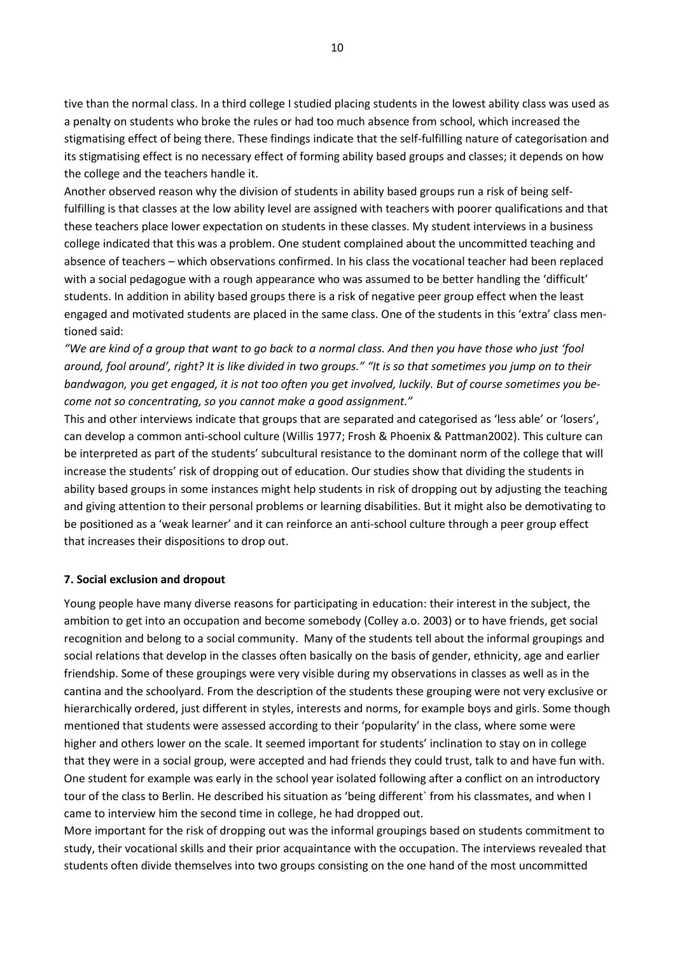tive than the normal class. In a third college I studied placing students in the lowest ability class was used as a penalty on students who broke the rules or had too much absence from school, which increased the stigmatising effect of being there. These findings indicate that the self-fulfilling nature of categorisation and its stigmatising effect is no necessary effect of forming ability based groups and classes; it depends on how the college and the teachers handle it.

Another observed reason why the division of students in ability based groups run a risk of being selffulfilling is that classes at the low ability level are assigned with teachers with poorer qualifications and that these teachers place lower expectation on students in these classes. My student interviews in a business college indicated that this was a problem. One student complained about the uncommitted teaching and absence of teachers – which observations confirmed. In his class the vocational teacher had been replaced with a social pedagogue with a rough appearance who was assumed to be better handling the 'difficult' students. In addition in ability based groups there is a risk of negative peer group effect when the least engaged and motivated students are placed in the same class. One of the students in this 'extra' class mentioned said:

*"We are kind of a group that want to go back to a normal class. And then you have those who just 'fool around, fool around', right? It is like divided in two groups." "It is so that sometimes you jump on to their bandwagon, you get engaged, it is not too often you get involved, luckily. But of course sometimes you become not so concentrating, so you cannot make a good assignment."*

This and other interviews indicate that groups that are separated and categorised as 'less able' or 'losers', can develop a common anti-school culture (Willis 1977; Frosh & Phoenix & Pattman2002). This culture can be interpreted as part of the students' subcultural resistance to the dominant norm of the college that will increase the students' risk of dropping out of education. Our studies show that dividing the students in ability based groups in some instances might help students in risk of dropping out by adjusting the teaching and giving attention to their personal problems or learning disabilities. But it might also be demotivating to be positioned as a 'weak learner' and it can reinforce an anti-school culture through a peer group effect that increases their dispositions to drop out.

### **7. Social exclusion and dropout**

Young people have many diverse reasons for participating in education: their interest in the subject, the ambition to get into an occupation and become somebody (Colley a.o. 2003) or to have friends, get social recognition and belong to a social community. Many of the students tell about the informal groupings and social relations that develop in the classes often basically on the basis of gender, ethnicity, age and earlier friendship. Some of these groupings were very visible during my observations in classes as well as in the cantina and the schoolyard. From the description of the students these grouping were not very exclusive or hierarchically ordered, just different in styles, interests and norms, for example boys and girls. Some though mentioned that students were assessed according to their 'popularity' in the class, where some were higher and others lower on the scale. It seemed important for students' inclination to stay on in college that they were in a social group, were accepted and had friends they could trust, talk to and have fun with. One student for example was early in the school year isolated following after a conflict on an introductory tour of the class to Berlin. He described his situation as 'being different` from his classmates, and when I came to interview him the second time in college, he had dropped out.

More important for the risk of dropping out was the informal groupings based on students commitment to study, their vocational skills and their prior acquaintance with the occupation. The interviews revealed that students often divide themselves into two groups consisting on the one hand of the most uncommitted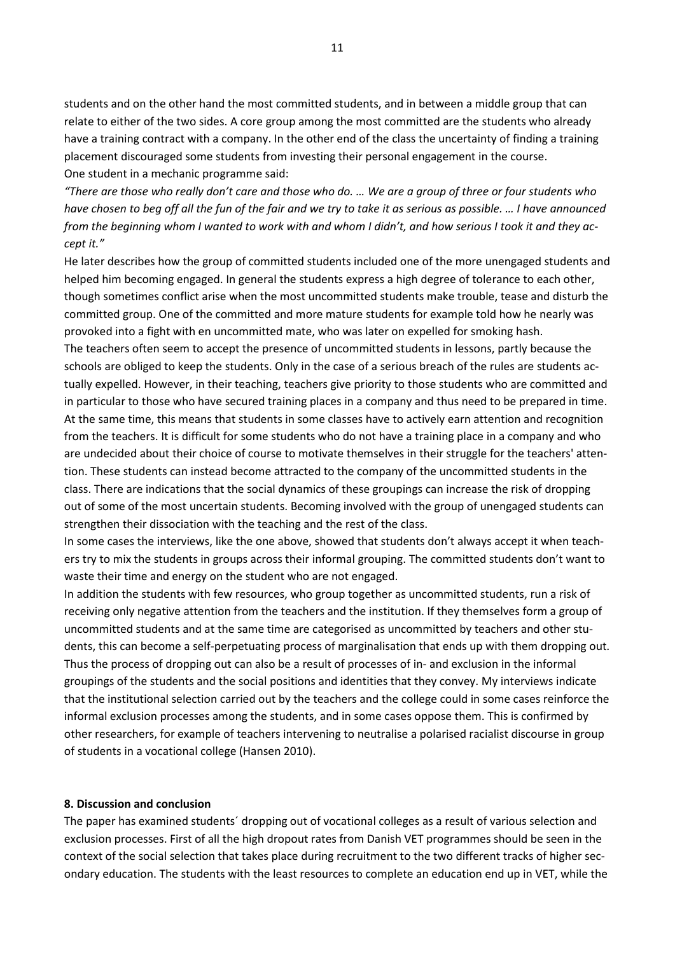students and on the other hand the most committed students, and in between a middle group that can relate to either of the two sides. A core group among the most committed are the students who already have a training contract with a company. In the other end of the class the uncertainty of finding a training placement discouraged some students from investing their personal engagement in the course. One student in a mechanic programme said:

*"There are those who really don't care and those who do. … We are a group of three or four students who have chosen to beg off all the fun of the fair and we try to take it as serious as possible. … I have announced from the beginning whom I wanted to work with and whom I didn't, and how serious I took it and they accept it."* 

He later describes how the group of committed students included one of the more unengaged students and helped him becoming engaged. In general the students express a high degree of tolerance to each other, though sometimes conflict arise when the most uncommitted students make trouble, tease and disturb the committed group. One of the committed and more mature students for example told how he nearly was provoked into a fight with en uncommitted mate, who was later on expelled for smoking hash.

The teachers often seem to accept the presence of uncommitted students in lessons, partly because the schools are obliged to keep the students. Only in the case of a serious breach of the rules are students actually expelled. However, in their teaching, teachers give priority to those students who are committed and in particular to those who have secured training places in a company and thus need to be prepared in time. At the same time, this means that students in some classes have to actively earn attention and recognition from the teachers. It is difficult for some students who do not have a training place in a company and who are undecided about their choice of course to motivate themselves in their struggle for the teachers' attention. These students can instead become attracted to the company of the uncommitted students in the class. There are indications that the social dynamics of these groupings can increase the risk of dropping out of some of the most uncertain students. Becoming involved with the group of unengaged students can strengthen their dissociation with the teaching and the rest of the class.

In some cases the interviews, like the one above, showed that students don't always accept it when teachers try to mix the students in groups across their informal grouping. The committed students don't want to waste their time and energy on the student who are not engaged.

In addition the students with few resources, who group together as uncommitted students, run a risk of receiving only negative attention from the teachers and the institution. If they themselves form a group of uncommitted students and at the same time are categorised as uncommitted by teachers and other students, this can become a self-perpetuating process of marginalisation that ends up with them dropping out. Thus the process of dropping out can also be a result of processes of in- and exclusion in the informal groupings of the students and the social positions and identities that they convey. My interviews indicate that the institutional selection carried out by the teachers and the college could in some cases reinforce the informal exclusion processes among the students, and in some cases oppose them. This is confirmed by other researchers, for example of teachers intervening to neutralise a polarised racialist discourse in group of students in a vocational college (Hansen 2010).

#### **8. Discussion and conclusion**

The paper has examined students´ dropping out of vocational colleges as a result of various selection and exclusion processes. First of all the high dropout rates from Danish VET programmes should be seen in the context of the social selection that takes place during recruitment to the two different tracks of higher secondary education. The students with the least resources to complete an education end up in VET, while the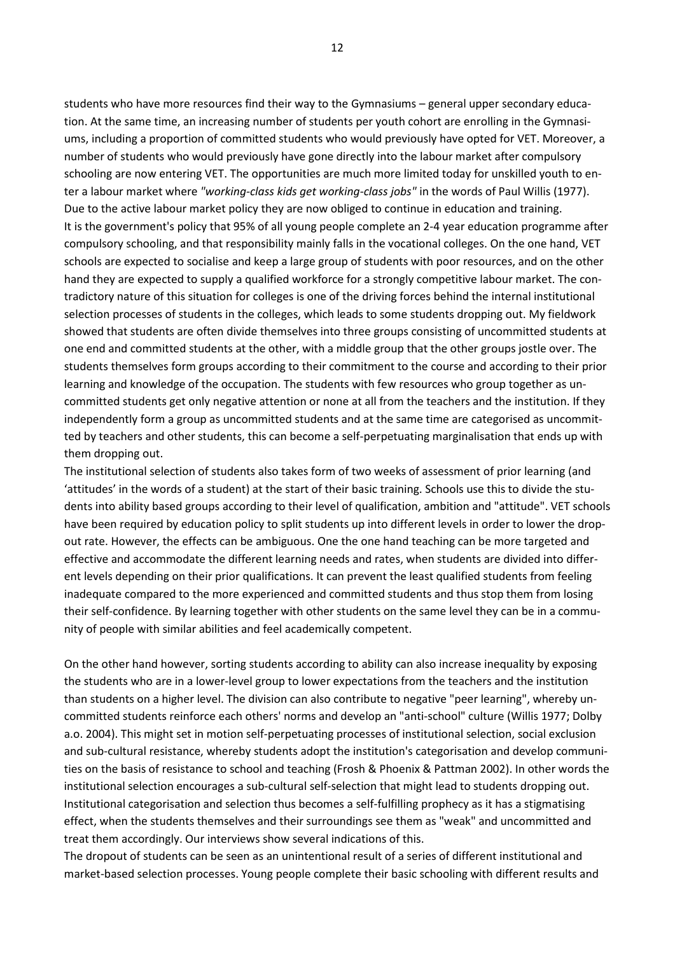students who have more resources find their way to the Gymnasiums – general upper secondary education. At the same time, an increasing number of students per youth cohort are enrolling in the Gymnasiums, including a proportion of committed students who would previously have opted for VET. Moreover, a number of students who would previously have gone directly into the labour market after compulsory schooling are now entering VET. The opportunities are much more limited today for unskilled youth to enter a labour market where *"working-class kids get working-class jobs"* in the words of Paul Willis (1977). Due to the active labour market policy they are now obliged to continue in education and training. It is the government's policy that 95% of all young people complete an 2-4 year education programme after compulsory schooling, and that responsibility mainly falls in the vocational colleges. On the one hand, VET schools are expected to socialise and keep a large group of students with poor resources, and on the other hand they are expected to supply a qualified workforce for a strongly competitive labour market. The contradictory nature of this situation for colleges is one of the driving forces behind the internal institutional selection processes of students in the colleges, which leads to some students dropping out. My fieldwork showed that students are often divide themselves into three groups consisting of uncommitted students at one end and committed students at the other, with a middle group that the other groups jostle over. The students themselves form groups according to their commitment to the course and according to their prior learning and knowledge of the occupation. The students with few resources who group together as uncommitted students get only negative attention or none at all from the teachers and the institution. If they independently form a group as uncommitted students and at the same time are categorised as uncommitted by teachers and other students, this can become a self-perpetuating marginalisation that ends up with them dropping out.

The institutional selection of students also takes form of two weeks of assessment of prior learning (and 'attitudes' in the words of a student) at the start of their basic training. Schools use this to divide the students into ability based groups according to their level of qualification, ambition and "attitude". VET schools have been required by education policy to split students up into different levels in order to lower the dropout rate. However, the effects can be ambiguous. One the one hand teaching can be more targeted and effective and accommodate the different learning needs and rates, when students are divided into different levels depending on their prior qualifications. It can prevent the least qualified students from feeling inadequate compared to the more experienced and committed students and thus stop them from losing their self-confidence. By learning together with other students on the same level they can be in a community of people with similar abilities and feel academically competent.

On the other hand however, sorting students according to ability can also increase inequality by exposing the students who are in a lower-level group to lower expectations from the teachers and the institution than students on a higher level. The division can also contribute to negative "peer learning", whereby uncommitted students reinforce each others' norms and develop an "anti-school" culture (Willis 1977; Dolby a.o. 2004). This might set in motion self-perpetuating processes of institutional selection, social exclusion and sub-cultural resistance, whereby students adopt the institution's categorisation and develop communities on the basis of resistance to school and teaching (Frosh & Phoenix & Pattman 2002). In other words the institutional selection encourages a sub-cultural self-selection that might lead to students dropping out. Institutional categorisation and selection thus becomes a self-fulfilling prophecy as it has a stigmatising effect, when the students themselves and their surroundings see them as "weak" and uncommitted and treat them accordingly. Our interviews show several indications of this.

The dropout of students can be seen as an unintentional result of a series of different institutional and market-based selection processes. Young people complete their basic schooling with different results and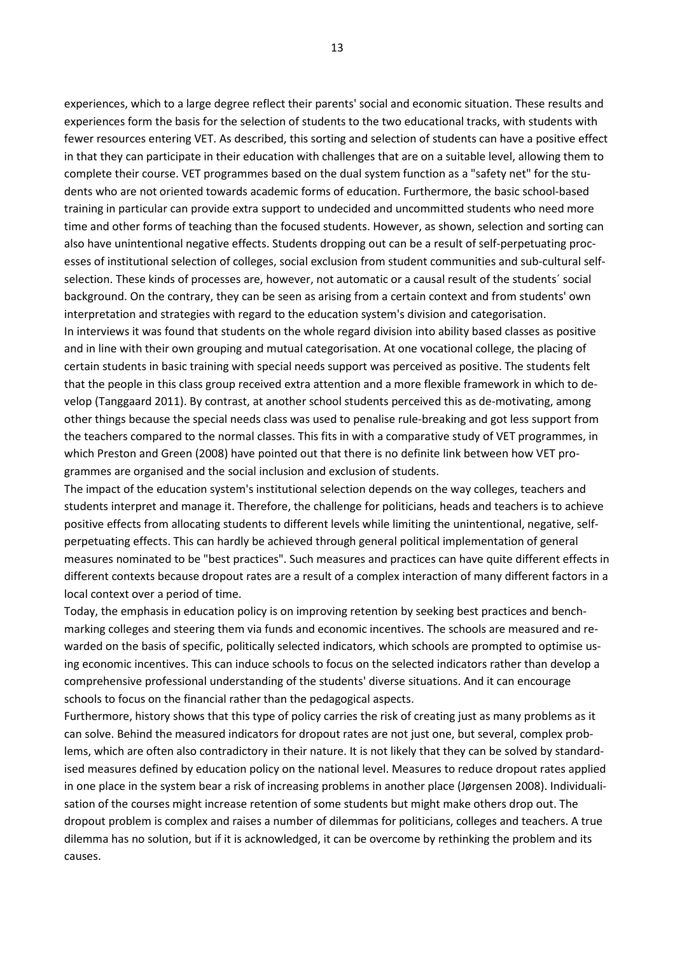experiences, which to a large degree reflect their parents' social and economic situation. These results and experiences form the basis for the selection of students to the two educational tracks, with students with fewer resources entering VET. As described, this sorting and selection of students can have a positive effect in that they can participate in their education with challenges that are on a suitable level, allowing them to complete their course. VET programmes based on the dual system function as a "safety net" for the students who are not oriented towards academic forms of education. Furthermore, the basic school-based training in particular can provide extra support to undecided and uncommitted students who need more time and other forms of teaching than the focused students. However, as shown, selection and sorting can also have unintentional negative effects. Students dropping out can be a result of self-perpetuating processes of institutional selection of colleges, social exclusion from student communities and sub-cultural selfselection. These kinds of processes are, however, not automatic or a causal result of the students´ social background. On the contrary, they can be seen as arising from a certain context and from students' own interpretation and strategies with regard to the education system's division and categorisation. In interviews it was found that students on the whole regard division into ability based classes as positive and in line with their own grouping and mutual categorisation. At one vocational college, the placing of certain students in basic training with special needs support was perceived as positive. The students felt that the people in this class group received extra attention and a more flexible framework in which to develop (Tanggaard 2011). By contrast, at another school students perceived this as de-motivating, among other things because the special needs class was used to penalise rule-breaking and got less support from the teachers compared to the normal classes. This fits in with a comparative study of VET programmes, in which Preston and Green (2008) have pointed out that there is no definite link between how VET programmes are organised and the social inclusion and exclusion of students.

The impact of the education system's institutional selection depends on the way colleges, teachers and students interpret and manage it. Therefore, the challenge for politicians, heads and teachers is to achieve positive effects from allocating students to different levels while limiting the unintentional, negative, selfperpetuating effects. This can hardly be achieved through general political implementation of general measures nominated to be "best practices". Such measures and practices can have quite different effects in different contexts because dropout rates are a result of a complex interaction of many different factors in a local context over a period of time.

Today, the emphasis in education policy is on improving retention by seeking best practices and benchmarking colleges and steering them via funds and economic incentives. The schools are measured and rewarded on the basis of specific, politically selected indicators, which schools are prompted to optimise using economic incentives. This can induce schools to focus on the selected indicators rather than develop a comprehensive professional understanding of the students' diverse situations. And it can encourage schools to focus on the financial rather than the pedagogical aspects.

Furthermore, history shows that this type of policy carries the risk of creating just as many problems as it can solve. Behind the measured indicators for dropout rates are not just one, but several, complex problems, which are often also contradictory in their nature. It is not likely that they can be solved by standardised measures defined by education policy on the national level. Measures to reduce dropout rates applied in one place in the system bear a risk of increasing problems in another place (Jørgensen 2008). Individualisation of the courses might increase retention of some students but might make others drop out. The dropout problem is complex and raises a number of dilemmas for politicians, colleges and teachers. A true dilemma has no solution, but if it is acknowledged, it can be overcome by rethinking the problem and its causes.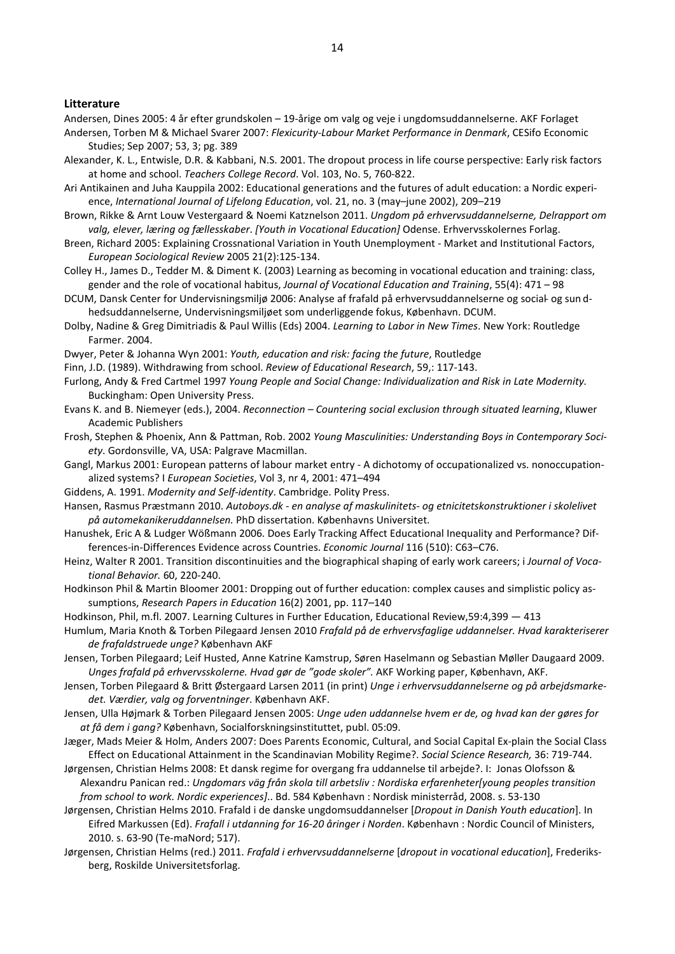#### **Litterature**

Andersen, Dines 2005: 4 år efter grundskolen – 19-årige om valg og veje i ungdomsuddannelserne. AKF Forlaget Andersen, Torben M & Michael Svarer 2007: *Flexicurity-Labour Market Performance in Denmark*, CESifo Economic Studies; Sep 2007; 53, 3; pg. 389

- Alexander, K. L., Entwisle, D.R. & Kabbani, N.S. 2001. The dropout process in life course perspective: Early risk factors at home and school. *Teachers College Record*. Vol. 103, No. 5, 760-822.
- Ari Antikainen and Juha Kauppila 2002: Educational generations and the futures of adult education: a Nordic experience, *International Journal of Lifelong Education*, vol. 21, no. 3 (may–june 2002), 209–219
- Brown, Rikke & Arnt Louw Vestergaard & Noemi Katznelson 2011. *Ungdom på erhvervsuddannelserne, Delrapport om valg, elever, læring og fællesskaber*. *[Youth in Vocational Education]* Odense. Erhvervsskolernes Forlag.
- Breen, Richard 2005: Explaining Crossnational Variation in Youth Unemployment Market and Institutional Factors, *European Sociological Review* 2005 21(2):125-134.
- Colley H., James D., Tedder M. & Diment K. (2003) Learning as becoming in vocational education and training: class, gender and the role of vocational habitus, *Journal of Vocational Education and Training*, 55(4): 471 – 98
- DCUM, Dansk Center for Undervisningsmiljø 2006: Analyse af frafald på erhvervsuddannelserne og social- og sun dhedsuddannelserne, Undervisningsmiljøet som underliggende fokus, København. DCUM.
- Dolby, Nadine & Greg Dimitriadis & Paul Willis (Eds) 2004. *Learning to Labor in New Times*. New York: Routledge Farmer. 2004.
- Dwyer, Peter & Johanna Wyn 2001: *Youth, education and risk: facing the future*, Routledge
- Finn, J.D. (1989). Withdrawing from school. *Review of Educational Research*, 59,: 117-143.
- Furlong, Andy & Fred Cartmel 1997 *Young People and Social Change: Individualization and Risk in Late Modernity.* Buckingham: Open University Press.
- Evans K. and B. Niemeyer (eds.), 2004. *Reconnection – Countering social exclusion through situated learning*, Kluwer Academic Publishers
- Frosh, Stephen & Phoenix, Ann & Pattman, Rob. 2002 *Young Masculinities: Understanding Boys in Contemporary Society*. Gordonsville, VA, USA: Palgrave Macmillan.
- Gangl, Markus 2001: European patterns of labour market entry A dichotomy of occupationalized vs. nonoccupationalized systems? I *European Societies*, Vol 3, nr 4, 2001: 471–494
- Giddens, A. 1991. *Modernity and Self-identity*. Cambridge. Polity Press.
- Hansen, Rasmus Præstmann 2010. *Autoboys.dk - en analyse af maskulinitets- og etnicitetskonstruktioner i skolelivet på automekanikeruddannelsen.* PhD dissertation. Københavns Universitet.
- Hanushek, Eric A & Ludger Wößmann 2006. Does Early Tracking Affect Educational Inequality and Performance? Differences-in-Differences Evidence across Countries. *Economic Journal* 116 (510): C63–C76.
- Heinz, Walter R 2001. Transition discontinuities and the biographical shaping of early work careers; i *Journal of Vocational Behavior.* 60, 220-240.
- Hodkinson Phil & Martin Bloomer 2001: Dropping out of further education: complex causes and simplistic policy assumptions, *Research Papers in Education* 16(2) 2001, pp. 117–140
- Hodkinson, Phil, m.fl. 2007. Learning Cultures in Further Education, Educational Review,59:4,399 413
- Humlum, Maria Knoth & Torben Pilegaard Jensen 2010 *Frafald på de erhvervsfaglige uddannelser. Hvad karakteriserer de frafaldstruede unge?* København AKF
- Jensen, Torben Pilegaard; Leif Husted, Anne Katrine Kamstrup, Søren Haselmann og Sebastian Møller Daugaard 2009. *Unges frafald på erhvervsskolerne. Hvad gør de "gode skoler".* AKF Working paper, København, AKF.
- Jensen, Torben Pilegaard & Britt Østergaard Larsen 2011 (in print) *Unge i erhvervsuddannelserne og på arbejdsmarkedet. Værdier, valg og forventninger*. København AKF.
- Jensen, Ulla Højmark & Torben Pilegaard Jensen 2005: *Unge uden uddannelse hvem er de, og hvad kan der gøres for at få dem i gang?* København, Socialforskningsinstituttet, publ. 05:09.
- Jæger, Mads Meier & Holm, Anders 2007: Does Parents Economic, Cultural, and Social Capital Ex-plain the Social Class Effect on Educational Attainment in the Scandinavian Mobility Regime?. *Social Science Research,* 36: 719-744.
- Jørgensen, Christian Helms 2008: Et dansk regime for overgang fra uddannelse til arbejde?. I: Jonas Olofsson & Alexandru Panican red.: *Ungdomars väg från skola till arbetsliv : Nordiska erfarenheter[young peoples transition from school to work. Nordic experiences]*.. Bd. 584 København : Nordisk ministerråd, 2008. s. 53-130
- Jørgensen, Christian Helms 2010. Frafald i de danske ungdomsuddannelser [*Dropout in Danish Youth education*]. In Eifred Markussen (Ed). *Frafall i utdanning for 16-20 åringer i Norden*. København : Nordic Council of Ministers, 2010. s. 63-90 (Te-maNord; 517).
- Jørgensen, Christian Helms (red.) 2011. *Frafald i erhvervsuddannelserne* [*dropout in vocational education*], Frederiksberg, Roskilde Universitetsforlag.